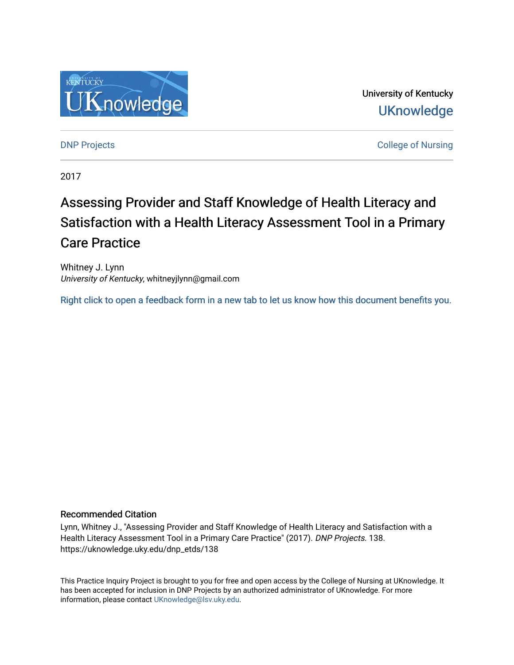

University of Kentucky **UKnowledge** 

**DNP Projects** College of Nursing

2017

# Assessing Provider and Staff Knowledge of Health Literacy and Satisfaction with a Health Literacy Assessment Tool in a Primary Care Practice

Whitney J. Lynn University of Kentucky, whitneyjlynn@gmail.com

[Right click to open a feedback form in a new tab to let us know how this document benefits you.](https://uky.az1.qualtrics.com/jfe/form/SV_9mq8fx2GnONRfz7)

#### Recommended Citation

Lynn, Whitney J., "Assessing Provider and Staff Knowledge of Health Literacy and Satisfaction with a Health Literacy Assessment Tool in a Primary Care Practice" (2017). DNP Projects. 138. https://uknowledge.uky.edu/dnp\_etds/138

This Practice Inquiry Project is brought to you for free and open access by the College of Nursing at UKnowledge. It has been accepted for inclusion in DNP Projects by an authorized administrator of UKnowledge. For more information, please contact [UKnowledge@lsv.uky.edu](mailto:UKnowledge@lsv.uky.edu).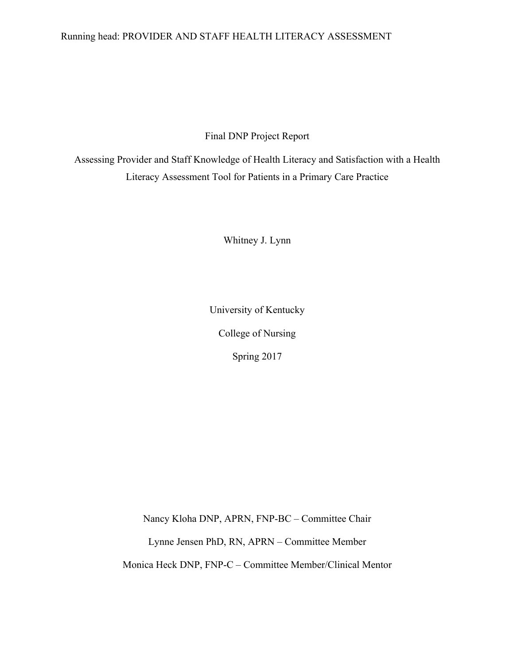#### Running head: PROVIDER AND STAFF HEALTH LITERACY ASSESSMENT

Final DNP Project Report

Assessing Provider and Staff Knowledge of Health Literacy and Satisfaction with a Health Literacy Assessment Tool for Patients in a Primary Care Practice

Whitney J. Lynn

University of Kentucky

College of Nursing

Spring 2017

Nancy Kloha DNP, APRN, FNP-BC – Committee Chair

Lynne Jensen PhD, RN, APRN – Committee Member

Monica Heck DNP, FNP-C – Committee Member/Clinical Mentor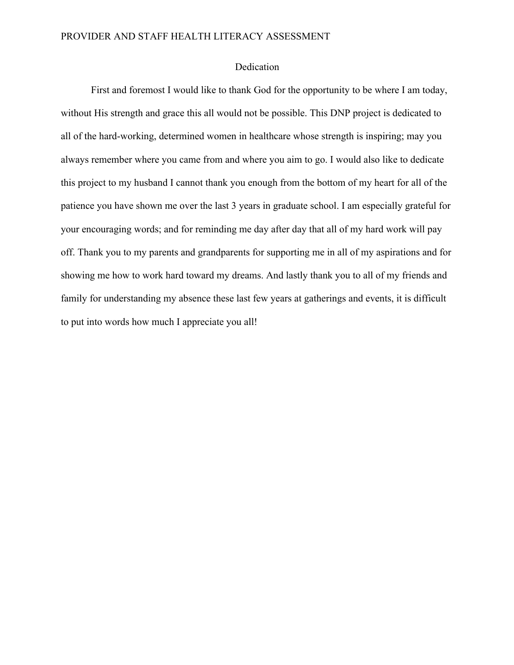#### Dedication

First and foremost I would like to thank God for the opportunity to be where I am today, without His strength and grace this all would not be possible. This DNP project is dedicated to all of the hard-working, determined women in healthcare whose strength is inspiring; may you always remember where you came from and where you aim to go. I would also like to dedicate this project to my husband I cannot thank you enough from the bottom of my heart for all of the patience you have shown me over the last 3 years in graduate school. I am especially grateful for your encouraging words; and for reminding me day after day that all of my hard work will pay off. Thank you to my parents and grandparents for supporting me in all of my aspirations and for showing me how to work hard toward my dreams. And lastly thank you to all of my friends and family for understanding my absence these last few years at gatherings and events, it is difficult to put into words how much I appreciate you all!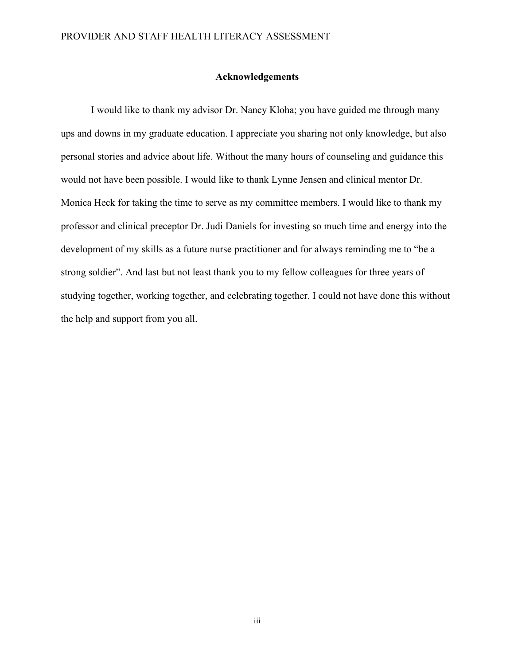#### **Acknowledgements**

I would like to thank my advisor Dr. Nancy Kloha; you have guided me through many ups and downs in my graduate education. I appreciate you sharing not only knowledge, but also personal stories and advice about life. Without the many hours of counseling and guidance this would not have been possible. I would like to thank Lynne Jensen and clinical mentor Dr. Monica Heck for taking the time to serve as my committee members. I would like to thank my professor and clinical preceptor Dr. Judi Daniels for investing so much time and energy into the development of my skills as a future nurse practitioner and for always reminding me to "be a strong soldier". And last but not least thank you to my fellow colleagues for three years of studying together, working together, and celebrating together. I could not have done this without the help and support from you all.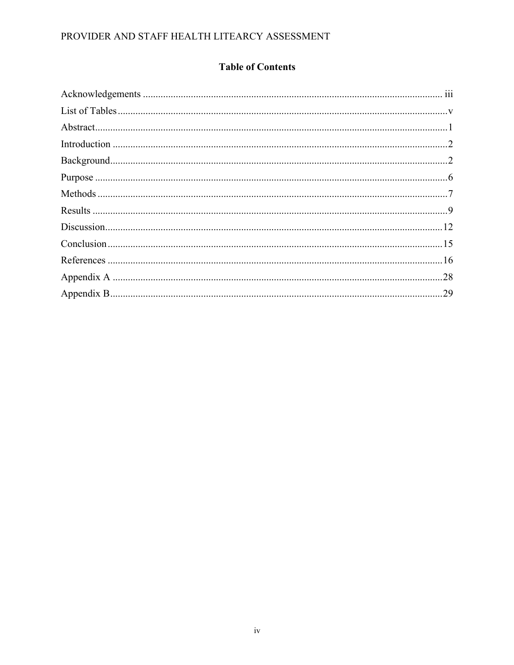### **Table of Contents**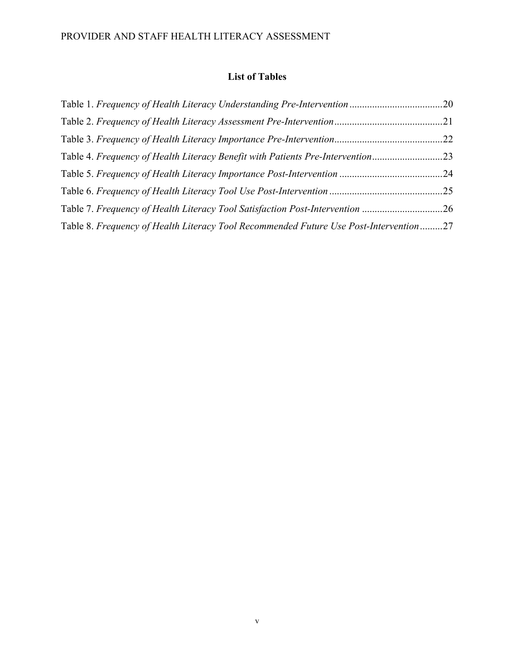### **List of Tables**

|                                                                                       | .22 |
|---------------------------------------------------------------------------------------|-----|
| Table 4. Frequency of Health Literacy Benefit with Patients Pre-Intervention23        |     |
|                                                                                       | .24 |
|                                                                                       |     |
| Table 7. Frequency of Health Literacy Tool Satisfaction Post-Intervention 26          |     |
| Table 8. Frequency of Health Literacy Tool Recommended Future Use Post-Intervention27 |     |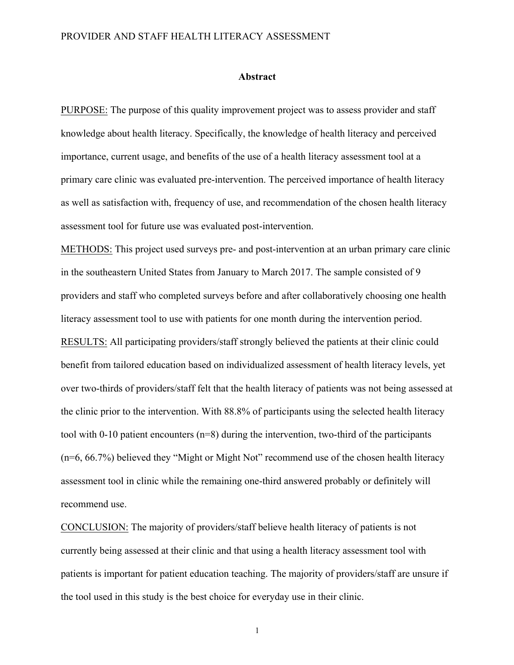#### **Abstract**

PURPOSE: The purpose of this quality improvement project was to assess provider and staff knowledge about health literacy. Specifically, the knowledge of health literacy and perceived importance, current usage, and benefits of the use of a health literacy assessment tool at a primary care clinic was evaluated pre-intervention. The perceived importance of health literacy as well as satisfaction with, frequency of use, and recommendation of the chosen health literacy assessment tool for future use was evaluated post-intervention.

METHODS: This project used surveys pre- and post-intervention at an urban primary care clinic in the southeastern United States from January to March 2017. The sample consisted of 9 providers and staff who completed surveys before and after collaboratively choosing one health literacy assessment tool to use with patients for one month during the intervention period. RESULTS: All participating providers/staff strongly believed the patients at their clinic could benefit from tailored education based on individualized assessment of health literacy levels, yet over two-thirds of providers/staff felt that the health literacy of patients was not being assessed at the clinic prior to the intervention. With 88.8% of participants using the selected health literacy tool with 0-10 patient encounters  $(n=8)$  during the intervention, two-third of the participants (n=6, 66.7%) believed they "Might or Might Not" recommend use of the chosen health literacy assessment tool in clinic while the remaining one-third answered probably or definitely will recommend use.

CONCLUSION: The majority of providers/staff believe health literacy of patients is not currently being assessed at their clinic and that using a health literacy assessment tool with patients is important for patient education teaching. The majority of providers/staff are unsure if the tool used in this study is the best choice for everyday use in their clinic.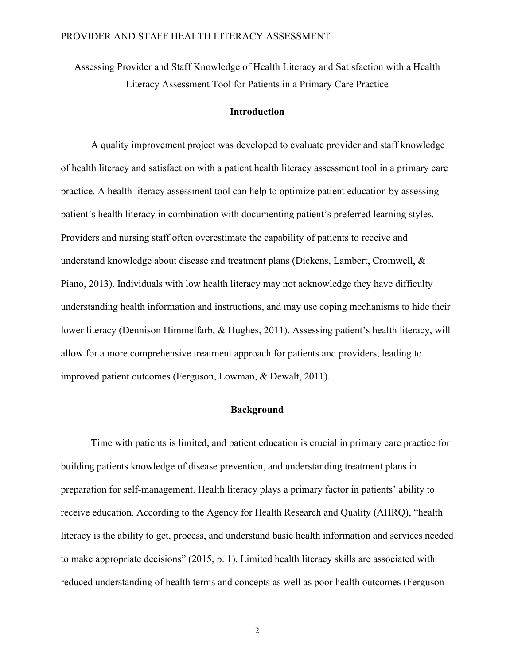Assessing Provider and Staff Knowledge of Health Literacy and Satisfaction with a Health Literacy Assessment Tool for Patients in a Primary Care Practice

#### **Introduction**

A quality improvement project was developed to evaluate provider and staff knowledge of health literacy and satisfaction with a patient health literacy assessment tool in a primary care practice. A health literacy assessment tool can help to optimize patient education by assessing patient's health literacy in combination with documenting patient's preferred learning styles. Providers and nursing staff often overestimate the capability of patients to receive and understand knowledge about disease and treatment plans (Dickens, Lambert, Cromwell, & Piano, 2013). Individuals with low health literacy may not acknowledge they have difficulty understanding health information and instructions, and may use coping mechanisms to hide their lower literacy (Dennison Himmelfarb, & Hughes, 2011). Assessing patient's health literacy, will allow for a more comprehensive treatment approach for patients and providers, leading to improved patient outcomes (Ferguson, Lowman, & Dewalt, 2011).

#### **Background**

Time with patients is limited, and patient education is crucial in primary care practice for building patients knowledge of disease prevention, and understanding treatment plans in preparation for self-management. Health literacy plays a primary factor in patients' ability to receive education. According to the Agency for Health Research and Quality (AHRQ), "health literacy is the ability to get, process, and understand basic health information and services needed to make appropriate decisions" (2015, p. 1). Limited health literacy skills are associated with reduced understanding of health terms and concepts as well as poor health outcomes (Ferguson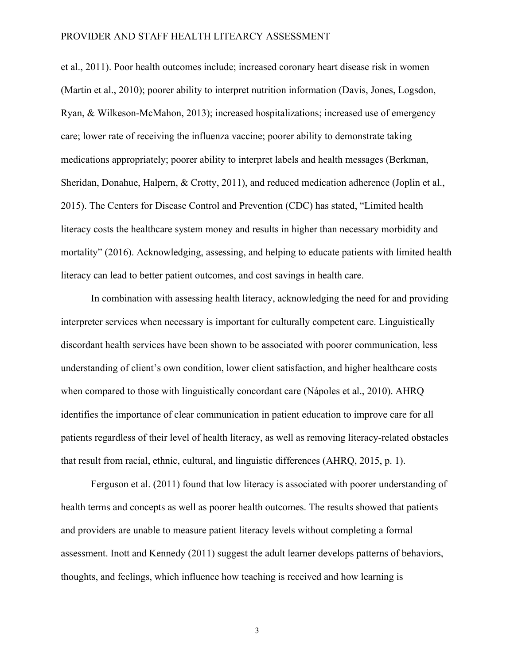et al., 2011). Poor health outcomes include; increased coronary heart disease risk in women (Martin et al., 2010); poorer ability to interpret nutrition information (Davis, Jones, Logsdon, Ryan, & Wilkeson-McMahon, 2013); increased hospitalizations; increased use of emergency care; lower rate of receiving the influenza vaccine; poorer ability to demonstrate taking medications appropriately; poorer ability to interpret labels and health messages (Berkman, Sheridan, Donahue, Halpern, & Crotty, 2011), and reduced medication adherence (Joplin et al., 2015). The Centers for Disease Control and Prevention (CDC) has stated, "Limited health literacy costs the healthcare system money and results in higher than necessary morbidity and mortality" (2016). Acknowledging, assessing, and helping to educate patients with limited health literacy can lead to better patient outcomes, and cost savings in health care.

In combination with assessing health literacy, acknowledging the need for and providing interpreter services when necessary is important for culturally competent care. Linguistically discordant health services have been shown to be associated with poorer communication, less understanding of client's own condition, lower client satisfaction, and higher healthcare costs when compared to those with linguistically concordant care (Nápoles et al., 2010). AHRQ identifies the importance of clear communication in patient education to improve care for all patients regardless of their level of health literacy, as well as removing literacy-related obstacles that result from racial, ethnic, cultural, and linguistic differences (AHRQ, 2015, p. 1).

Ferguson et al. (2011) found that low literacy is associated with poorer understanding of health terms and concepts as well as poorer health outcomes. The results showed that patients and providers are unable to measure patient literacy levels without completing a formal assessment. Inott and Kennedy (2011) suggest the adult learner develops patterns of behaviors, thoughts, and feelings, which influence how teaching is received and how learning is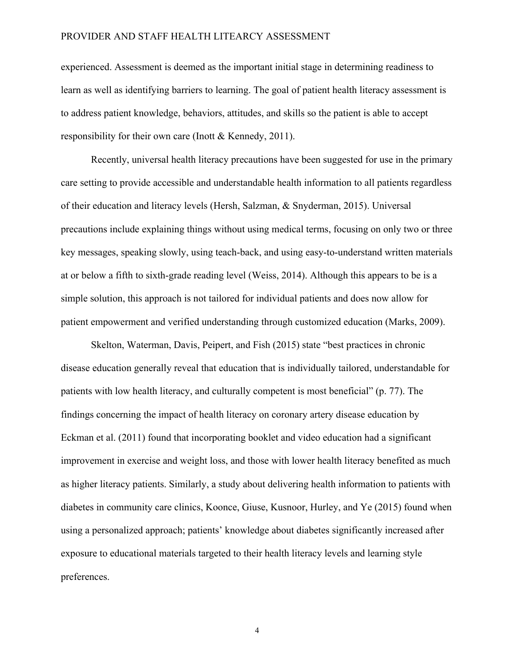experienced. Assessment is deemed as the important initial stage in determining readiness to learn as well as identifying barriers to learning. The goal of patient health literacy assessment is to address patient knowledge, behaviors, attitudes, and skills so the patient is able to accept responsibility for their own care (Inott & Kennedy, 2011).

Recently, universal health literacy precautions have been suggested for use in the primary care setting to provide accessible and understandable health information to all patients regardless of their education and literacy levels (Hersh, Salzman, & Snyderman, 2015). Universal precautions include explaining things without using medical terms, focusing on only two or three key messages, speaking slowly, using teach-back, and using easy-to-understand written materials at or below a fifth to sixth-grade reading level (Weiss, 2014). Although this appears to be is a simple solution, this approach is not tailored for individual patients and does now allow for patient empowerment and verified understanding through customized education (Marks, 2009).

Skelton, Waterman, Davis, Peipert, and Fish (2015) state "best practices in chronic disease education generally reveal that education that is individually tailored, understandable for patients with low health literacy, and culturally competent is most beneficial" (p. 77). The findings concerning the impact of health literacy on coronary artery disease education by Eckman et al. (2011) found that incorporating booklet and video education had a significant improvement in exercise and weight loss, and those with lower health literacy benefited as much as higher literacy patients. Similarly, a study about delivering health information to patients with diabetes in community care clinics, Koonce, Giuse, Kusnoor, Hurley, and Ye (2015) found when using a personalized approach; patients' knowledge about diabetes significantly increased after exposure to educational materials targeted to their health literacy levels and learning style preferences.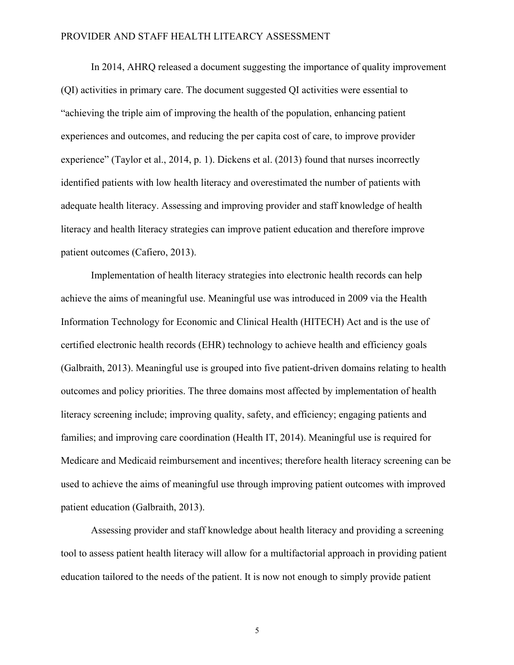In 2014, AHRQ released a document suggesting the importance of quality improvement (QI) activities in primary care. The document suggested QI activities were essential to "achieving the triple aim of improving the health of the population, enhancing patient experiences and outcomes, and reducing the per capita cost of care, to improve provider experience" (Taylor et al., 2014, p. 1). Dickens et al. (2013) found that nurses incorrectly identified patients with low health literacy and overestimated the number of patients with adequate health literacy. Assessing and improving provider and staff knowledge of health literacy and health literacy strategies can improve patient education and therefore improve patient outcomes (Cafiero, 2013).

Implementation of health literacy strategies into electronic health records can help achieve the aims of meaningful use. Meaningful use was introduced in 2009 via the Health Information Technology for Economic and Clinical Health (HITECH) Act and is the use of certified electronic health records (EHR) technology to achieve health and efficiency goals (Galbraith, 2013). Meaningful use is grouped into five patient-driven domains relating to health outcomes and policy priorities. The three domains most affected by implementation of health literacy screening include; improving quality, safety, and efficiency; engaging patients and families; and improving care coordination (Health IT, 2014). Meaningful use is required for Medicare and Medicaid reimbursement and incentives; therefore health literacy screening can be used to achieve the aims of meaningful use through improving patient outcomes with improved patient education (Galbraith, 2013).

Assessing provider and staff knowledge about health literacy and providing a screening tool to assess patient health literacy will allow for a multifactorial approach in providing patient education tailored to the needs of the patient. It is now not enough to simply provide patient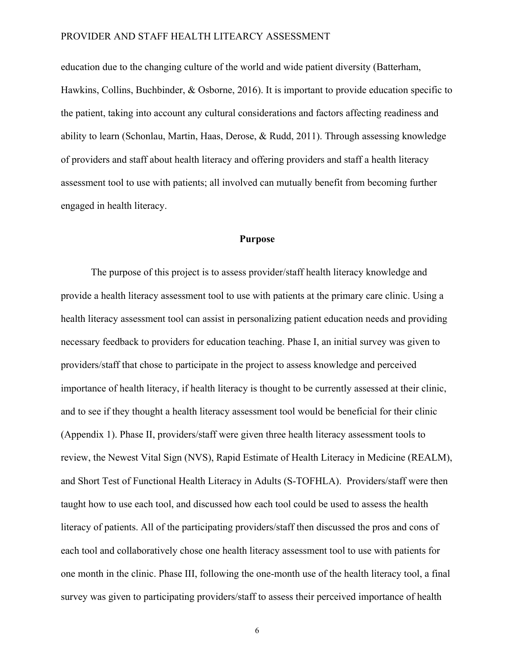education due to the changing culture of the world and wide patient diversity (Batterham, Hawkins, Collins, Buchbinder, & Osborne, 2016). It is important to provide education specific to the patient, taking into account any cultural considerations and factors affecting readiness and ability to learn (Schonlau, Martin, Haas, Derose, & Rudd, 2011). Through assessing knowledge of providers and staff about health literacy and offering providers and staff a health literacy assessment tool to use with patients; all involved can mutually benefit from becoming further engaged in health literacy.

#### **Purpose**

The purpose of this project is to assess provider/staff health literacy knowledge and provide a health literacy assessment tool to use with patients at the primary care clinic. Using a health literacy assessment tool can assist in personalizing patient education needs and providing necessary feedback to providers for education teaching. Phase I, an initial survey was given to providers/staff that chose to participate in the project to assess knowledge and perceived importance of health literacy, if health literacy is thought to be currently assessed at their clinic, and to see if they thought a health literacy assessment tool would be beneficial for their clinic (Appendix 1). Phase II, providers/staff were given three health literacy assessment tools to review, the Newest Vital Sign (NVS), Rapid Estimate of Health Literacy in Medicine (REALM), and Short Test of Functional Health Literacy in Adults (S-TOFHLA). Providers/staff were then taught how to use each tool, and discussed how each tool could be used to assess the health literacy of patients. All of the participating providers/staff then discussed the pros and cons of each tool and collaboratively chose one health literacy assessment tool to use with patients for one month in the clinic. Phase III, following the one-month use of the health literacy tool, a final survey was given to participating providers/staff to assess their perceived importance of health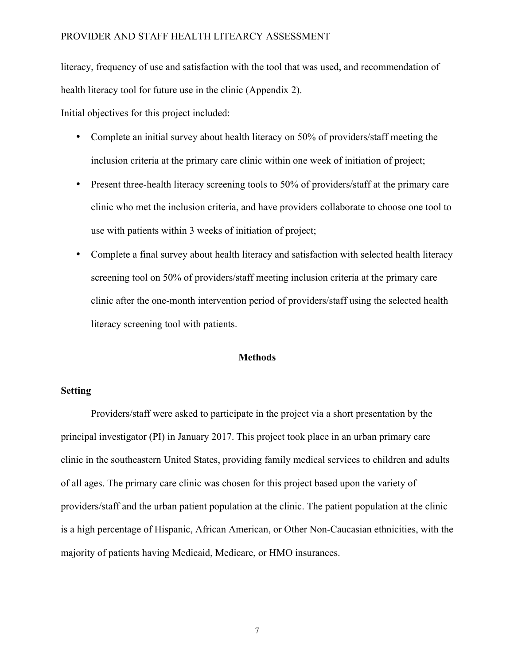literacy, frequency of use and satisfaction with the tool that was used, and recommendation of health literacy tool for future use in the clinic (Appendix 2).

Initial objectives for this project included:

- Complete an initial survey about health literacy on 50% of providers/staff meeting the inclusion criteria at the primary care clinic within one week of initiation of project;
- Present three-health literacy screening tools to 50% of providers/staff at the primary care clinic who met the inclusion criteria, and have providers collaborate to choose one tool to use with patients within 3 weeks of initiation of project;
- Complete a final survey about health literacy and satisfaction with selected health literacy screening tool on 50% of providers/staff meeting inclusion criteria at the primary care clinic after the one-month intervention period of providers/staff using the selected health literacy screening tool with patients.

#### **Methods**

#### **Setting**

Providers/staff were asked to participate in the project via a short presentation by the principal investigator (PI) in January 2017. This project took place in an urban primary care clinic in the southeastern United States, providing family medical services to children and adults of all ages. The primary care clinic was chosen for this project based upon the variety of providers/staff and the urban patient population at the clinic. The patient population at the clinic is a high percentage of Hispanic, African American, or Other Non-Caucasian ethnicities, with the majority of patients having Medicaid, Medicare, or HMO insurances.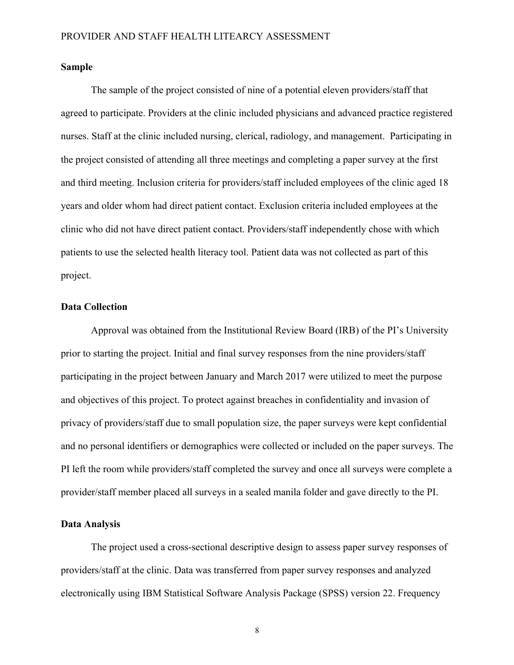#### **Sample**

The sample of the project consisted of nine of a potential eleven providers/staff that agreed to participate. Providers at the clinic included physicians and advanced practice registered nurses. Staff at the clinic included nursing, clerical, radiology, and management. Participating in the project consisted of attending all three meetings and completing a paper survey at the first and third meeting. Inclusion criteria for providers/staff included employees of the clinic aged 18 years and older whom had direct patient contact. Exclusion criteria included employees at the clinic who did not have direct patient contact. Providers/staff independently chose with which patients to use the selected health literacy tool. Patient data was not collected as part of this project.

#### **Data Collection**

Approval was obtained from the Institutional Review Board (IRB) of the PI's University prior to starting the project. Initial and final survey responses from the nine providers/staff participating in the project between January and March 2017 were utilized to meet the purpose and objectives of this project. To protect against breaches in confidentiality and invasion of privacy of providers/staff due to small population size, the paper surveys were kept confidential and no personal identifiers or demographics were collected or included on the paper surveys. The PI left the room while providers/staff completed the survey and once all surveys were complete a provider/staff member placed all surveys in a sealed manila folder and gave directly to the PI.

#### **Data Analysis**

The project used a cross-sectional descriptive design to assess paper survey responses of providers/staff at the clinic. Data was transferred from paper survey responses and analyzed electronically using IBM Statistical Software Analysis Package (SPSS) version 22. Frequency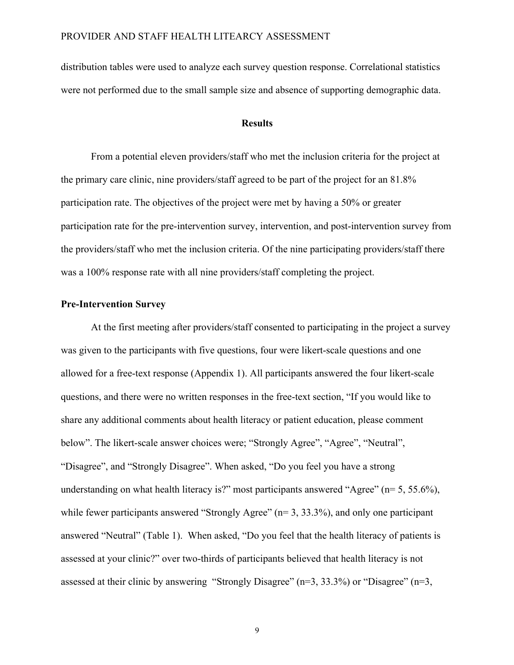distribution tables were used to analyze each survey question response. Correlational statistics were not performed due to the small sample size and absence of supporting demographic data.

#### **Results**

From a potential eleven providers/staff who met the inclusion criteria for the project at the primary care clinic, nine providers/staff agreed to be part of the project for an 81.8% participation rate. The objectives of the project were met by having a 50% or greater participation rate for the pre-intervention survey, intervention, and post-intervention survey from the providers/staff who met the inclusion criteria. Of the nine participating providers/staff there was a 100% response rate with all nine providers/staff completing the project.

#### **Pre-Intervention Survey**

At the first meeting after providers/staff consented to participating in the project a survey was given to the participants with five questions, four were likert-scale questions and one allowed for a free-text response (Appendix 1). All participants answered the four likert-scale questions, and there were no written responses in the free-text section, "If you would like to share any additional comments about health literacy or patient education, please comment below". The likert-scale answer choices were; "Strongly Agree", "Agree", "Neutral", "Disagree", and "Strongly Disagree". When asked, "Do you feel you have a strong understanding on what health literacy is?" most participants answered "Agree" (n= 5, 55.6%), while fewer participants answered "Strongly Agree" (n= 3, 33.3%), and only one participant answered "Neutral" (Table 1). When asked, "Do you feel that the health literacy of patients is assessed at your clinic?" over two-thirds of participants believed that health literacy is not assessed at their clinic by answering "Strongly Disagree" (n=3, 33.3%) or "Disagree" (n=3,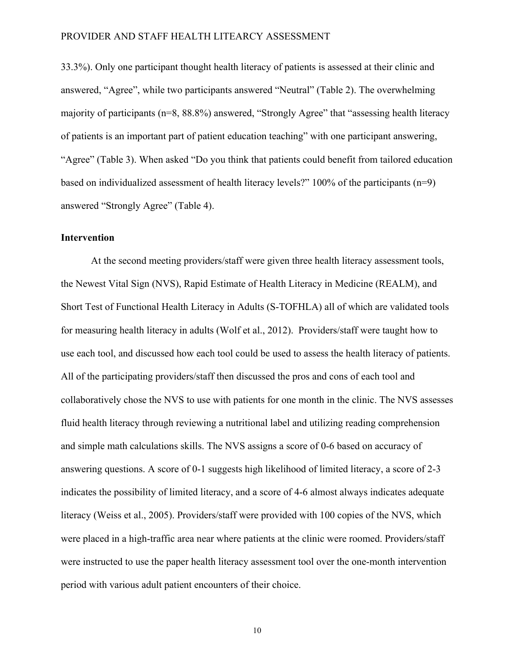33.3%). Only one participant thought health literacy of patients is assessed at their clinic and answered, "Agree", while two participants answered "Neutral" (Table 2). The overwhelming majority of participants (n=8, 88.8%) answered, "Strongly Agree" that "assessing health literacy of patients is an important part of patient education teaching" with one participant answering, "Agree" (Table 3). When asked "Do you think that patients could benefit from tailored education based on individualized assessment of health literacy levels?" 100% of the participants (n=9) answered "Strongly Agree" (Table 4).

#### **Intervention**

At the second meeting providers/staff were given three health literacy assessment tools, the Newest Vital Sign (NVS), Rapid Estimate of Health Literacy in Medicine (REALM), and Short Test of Functional Health Literacy in Adults (S-TOFHLA) all of which are validated tools for measuring health literacy in adults (Wolf et al., 2012). Providers/staff were taught how to use each tool, and discussed how each tool could be used to assess the health literacy of patients. All of the participating providers/staff then discussed the pros and cons of each tool and collaboratively chose the NVS to use with patients for one month in the clinic. The NVS assesses fluid health literacy through reviewing a nutritional label and utilizing reading comprehension and simple math calculations skills. The NVS assigns a score of 0-6 based on accuracy of answering questions. A score of 0-1 suggests high likelihood of limited literacy, a score of 2-3 indicates the possibility of limited literacy, and a score of 4-6 almost always indicates adequate literacy (Weiss et al., 2005). Providers/staff were provided with 100 copies of the NVS, which were placed in a high-traffic area near where patients at the clinic were roomed. Providers/staff were instructed to use the paper health literacy assessment tool over the one-month intervention period with various adult patient encounters of their choice.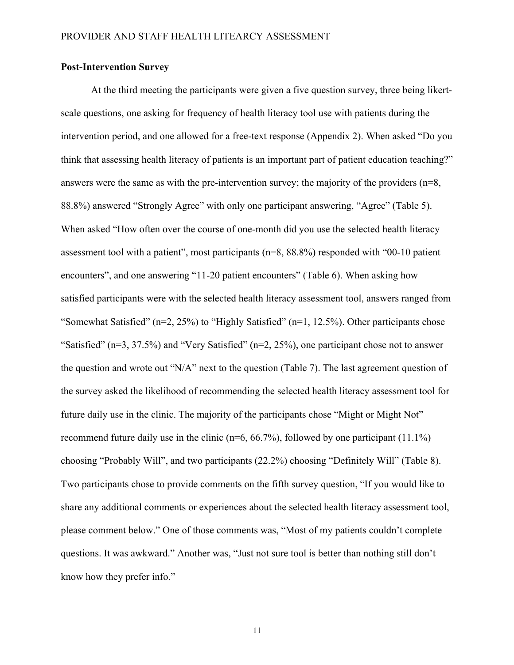#### **Post-Intervention Survey**

At the third meeting the participants were given a five question survey, three being likertscale questions, one asking for frequency of health literacy tool use with patients during the intervention period, and one allowed for a free-text response (Appendix 2). When asked "Do you think that assessing health literacy of patients is an important part of patient education teaching?" answers were the same as with the pre-intervention survey; the majority of the providers (n=8, 88.8%) answered "Strongly Agree" with only one participant answering, "Agree" (Table 5). When asked "How often over the course of one-month did you use the selected health literacy assessment tool with a patient", most participants (n=8, 88.8%) responded with "00-10 patient encounters", and one answering "11-20 patient encounters" (Table 6). When asking how satisfied participants were with the selected health literacy assessment tool, answers ranged from "Somewhat Satisfied" (n=2, 25%) to "Highly Satisfied" (n=1, 12.5%). Other participants chose "Satisfied" (n=3, 37.5%) and "Very Satisfied" (n=2, 25%), one participant chose not to answer the question and wrote out "N/A" next to the question (Table 7). The last agreement question of the survey asked the likelihood of recommending the selected health literacy assessment tool for future daily use in the clinic. The majority of the participants chose "Might or Might Not" recommend future daily use in the clinic (n=6, 66.7%), followed by one participant (11.1%) choosing "Probably Will", and two participants (22.2%) choosing "Definitely Will" (Table 8). Two participants chose to provide comments on the fifth survey question, "If you would like to share any additional comments or experiences about the selected health literacy assessment tool, please comment below." One of those comments was, "Most of my patients couldn't complete questions. It was awkward." Another was, "Just not sure tool is better than nothing still don't know how they prefer info."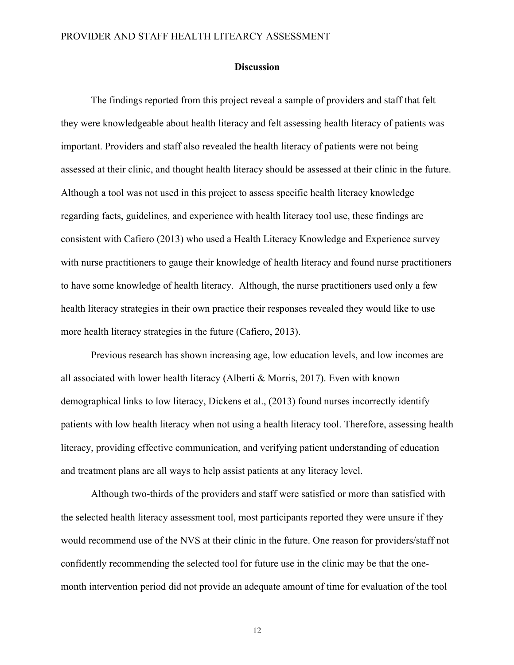#### **Discussion**

The findings reported from this project reveal a sample of providers and staff that felt they were knowledgeable about health literacy and felt assessing health literacy of patients was important. Providers and staff also revealed the health literacy of patients were not being assessed at their clinic, and thought health literacy should be assessed at their clinic in the future. Although a tool was not used in this project to assess specific health literacy knowledge regarding facts, guidelines, and experience with health literacy tool use, these findings are consistent with Cafiero (2013) who used a Health Literacy Knowledge and Experience survey with nurse practitioners to gauge their knowledge of health literacy and found nurse practitioners to have some knowledge of health literacy. Although, the nurse practitioners used only a few health literacy strategies in their own practice their responses revealed they would like to use more health literacy strategies in the future (Cafiero, 2013).

Previous research has shown increasing age, low education levels, and low incomes are all associated with lower health literacy (Alberti & Morris, 2017). Even with known demographical links to low literacy, Dickens et al., (2013) found nurses incorrectly identify patients with low health literacy when not using a health literacy tool. Therefore, assessing health literacy, providing effective communication, and verifying patient understanding of education and treatment plans are all ways to help assist patients at any literacy level.

Although two-thirds of the providers and staff were satisfied or more than satisfied with the selected health literacy assessment tool, most participants reported they were unsure if they would recommend use of the NVS at their clinic in the future. One reason for providers/staff not confidently recommending the selected tool for future use in the clinic may be that the onemonth intervention period did not provide an adequate amount of time for evaluation of the tool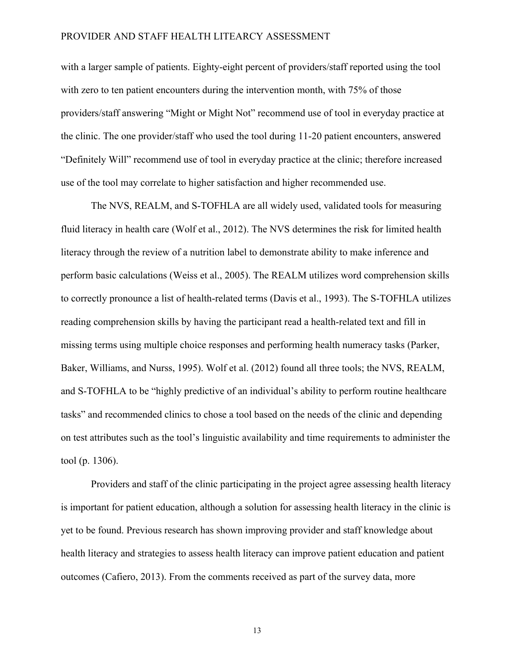with a larger sample of patients. Eighty-eight percent of providers/staff reported using the tool with zero to ten patient encounters during the intervention month, with 75% of those providers/staff answering "Might or Might Not" recommend use of tool in everyday practice at the clinic. The one provider/staff who used the tool during 11-20 patient encounters, answered "Definitely Will" recommend use of tool in everyday practice at the clinic; therefore increased use of the tool may correlate to higher satisfaction and higher recommended use.

The NVS, REALM, and S-TOFHLA are all widely used, validated tools for measuring fluid literacy in health care (Wolf et al., 2012). The NVS determines the risk for limited health literacy through the review of a nutrition label to demonstrate ability to make inference and perform basic calculations (Weiss et al., 2005). The REALM utilizes word comprehension skills to correctly pronounce a list of health-related terms (Davis et al., 1993). The S-TOFHLA utilizes reading comprehension skills by having the participant read a health-related text and fill in missing terms using multiple choice responses and performing health numeracy tasks (Parker, Baker, Williams, and Nurss, 1995). Wolf et al. (2012) found all three tools; the NVS, REALM, and S-TOFHLA to be "highly predictive of an individual's ability to perform routine healthcare tasks" and recommended clinics to chose a tool based on the needs of the clinic and depending on test attributes such as the tool's linguistic availability and time requirements to administer the tool (p. 1306).

Providers and staff of the clinic participating in the project agree assessing health literacy is important for patient education, although a solution for assessing health literacy in the clinic is yet to be found. Previous research has shown improving provider and staff knowledge about health literacy and strategies to assess health literacy can improve patient education and patient outcomes (Cafiero, 2013). From the comments received as part of the survey data, more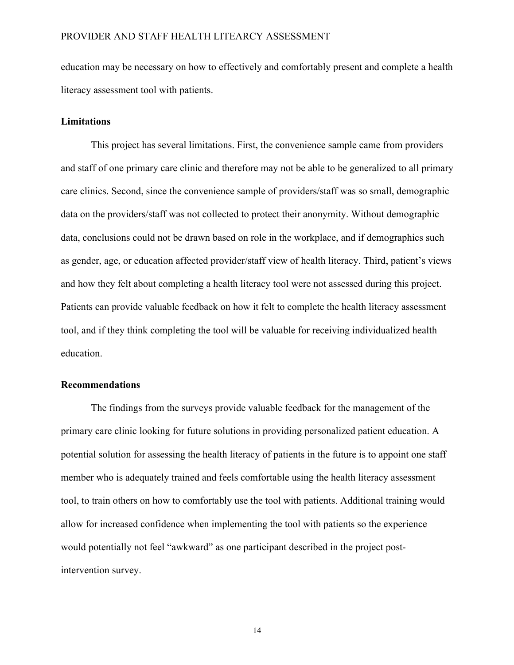education may be necessary on how to effectively and comfortably present and complete a health literacy assessment tool with patients.

#### **Limitations**

This project has several limitations. First, the convenience sample came from providers and staff of one primary care clinic and therefore may not be able to be generalized to all primary care clinics. Second, since the convenience sample of providers/staff was so small, demographic data on the providers/staff was not collected to protect their anonymity. Without demographic data, conclusions could not be drawn based on role in the workplace, and if demographics such as gender, age, or education affected provider/staff view of health literacy. Third, patient's views and how they felt about completing a health literacy tool were not assessed during this project. Patients can provide valuable feedback on how it felt to complete the health literacy assessment tool, and if they think completing the tool will be valuable for receiving individualized health education.

#### **Recommendations**

The findings from the surveys provide valuable feedback for the management of the primary care clinic looking for future solutions in providing personalized patient education. A potential solution for assessing the health literacy of patients in the future is to appoint one staff member who is adequately trained and feels comfortable using the health literacy assessment tool, to train others on how to comfortably use the tool with patients. Additional training would allow for increased confidence when implementing the tool with patients so the experience would potentially not feel "awkward" as one participant described in the project postintervention survey.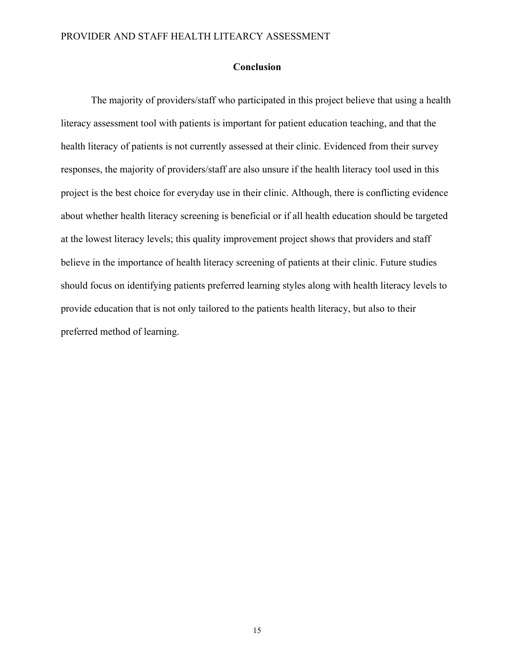#### **Conclusion**

The majority of providers/staff who participated in this project believe that using a health literacy assessment tool with patients is important for patient education teaching, and that the health literacy of patients is not currently assessed at their clinic. Evidenced from their survey responses, the majority of providers/staff are also unsure if the health literacy tool used in this project is the best choice for everyday use in their clinic. Although, there is conflicting evidence about whether health literacy screening is beneficial or if all health education should be targeted at the lowest literacy levels; this quality improvement project shows that providers and staff believe in the importance of health literacy screening of patients at their clinic. Future studies should focus on identifying patients preferred learning styles along with health literacy levels to provide education that is not only tailored to the patients health literacy, but also to their preferred method of learning.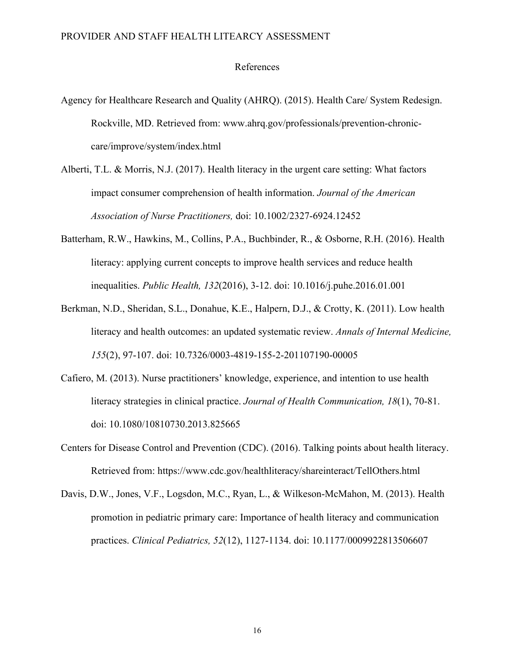#### References

- Agency for Healthcare Research and Quality (AHRQ). (2015). Health Care/ System Redesign. Rockville, MD. Retrieved from: www.ahrq.gov/professionals/prevention-chroniccare/improve/system/index.html
- Alberti, T.L. & Morris, N.J. (2017). Health literacy in the urgent care setting: What factors impact consumer comprehension of health information. *Journal of the American Association of Nurse Practitioners,* doi: 10.1002/2327-6924.12452
- Batterham, R.W., Hawkins, M., Collins, P.A., Buchbinder, R., & Osborne, R.H. (2016). Health literacy: applying current concepts to improve health services and reduce health inequalities. *Public Health, 132*(2016), 3-12. doi: 10.1016/j.puhe.2016.01.001
- Berkman, N.D., Sheridan, S.L., Donahue, K.E., Halpern, D.J., & Crotty, K. (2011). Low health literacy and health outcomes: an updated systematic review. *Annals of Internal Medicine, 155*(2), 97-107. doi: 10.7326/0003-4819-155-2-201107190-00005
- Cafiero, M. (2013). Nurse practitioners' knowledge, experience, and intention to use health literacy strategies in clinical practice. *Journal of Health Communication, 18*(1), 70-81. doi: 10.1080/10810730.2013.825665
- Centers for Disease Control and Prevention (CDC). (2016). Talking points about health literacy. Retrieved from: https://www.cdc.gov/healthliteracy/shareinteract/TellOthers.html
- Davis, D.W., Jones, V.F., Logsdon, M.C., Ryan, L., & Wilkeson-McMahon, M. (2013). Health promotion in pediatric primary care: Importance of health literacy and communication practices. *Clinical Pediatrics, 52*(12), 1127-1134. doi: 10.1177/0009922813506607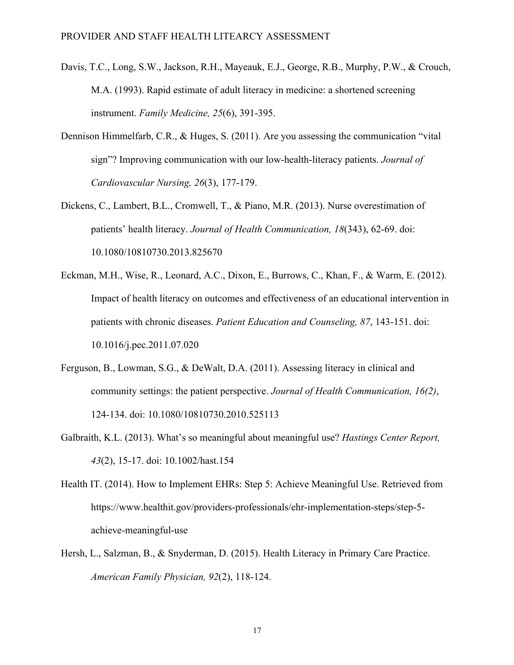- Davis, T.C., Long, S.W., Jackson, R.H., Mayeauk, E.J., George, R.B., Murphy, P.W., & Crouch, M.A. (1993). Rapid estimate of adult literacy in medicine: a shortened screening instrument. *Family Medicine, 25*(6), 391-395.
- Dennison Himmelfarb, C.R., & Huges, S. (2011). Are you assessing the communication "vital sign"? Improving communication with our low-health-literacy patients. *Journal of Cardiovascular Nursing, 26*(3), 177-179.
- Dickens, C., Lambert, B.L., Cromwell, T., & Piano, M.R. (2013). Nurse overestimation of patients' health literacy. *Journal of Health Communication, 18*(343), 62-69. doi: 10.1080/10810730.2013.825670
- Eckman, M.H., Wise, R., Leonard, A.C., Dixon, E., Burrows, C., Khan, F., & Warm, E. (2012). Impact of health literacy on outcomes and effectiveness of an educational intervention in patients with chronic diseases. *Patient Education and Counseling, 87*, 143-151. doi: 10.1016/j.pec.2011.07.020
- Ferguson, B., Lowman, S.G., & DeWalt, D.A. (2011). Assessing literacy in clinical and community settings: the patient perspective. *Journal of Health Communication, 16(2)*, 124-134. doi: 10.1080/10810730.2010.525113
- Galbraith, K.L. (2013). What's so meaningful about meaningful use? *Hastings Center Report, 43*(2), 15-17. doi: 10.1002/hast.154
- Health IT. (2014). How to Implement EHRs: Step 5: Achieve Meaningful Use. Retrieved from https://www.healthit.gov/providers-professionals/ehr-implementation-steps/step-5 achieve-meaningful-use
- Hersh, L., Salzman, B., & Snyderman, D. (2015). Health Literacy in Primary Care Practice. *American Family Physician, 92*(2), 118-124.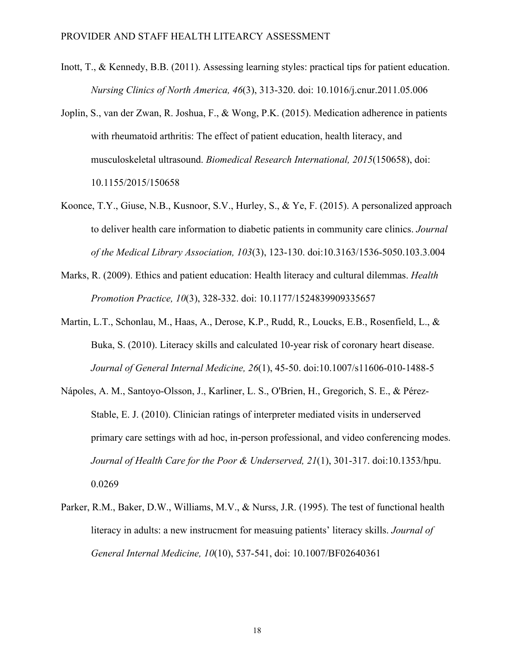- Inott, T., & Kennedy, B.B. (2011). Assessing learning styles: practical tips for patient education. *Nursing Clinics of North America, 46*(3), 313-320. doi: 10.1016/j.cnur.2011.05.006
- Joplin, S., van der Zwan, R. Joshua, F., & Wong, P.K. (2015). Medication adherence in patients with rheumatoid arthritis: The effect of patient education, health literacy, and musculoskeletal ultrasound. *Biomedical Research International, 2015*(150658), doi: 10.1155/2015/150658
- Koonce, T.Y., Giuse, N.B., Kusnoor, S.V., Hurley, S., & Ye, F. (2015). A personalized approach to deliver health care information to diabetic patients in community care clinics. *Journal of the Medical Library Association, 103*(3), 123-130. doi:10.3163/1536-5050.103.3.004
- Marks, R. (2009). Ethics and patient education: Health literacy and cultural dilemmas. *Health Promotion Practice, 10*(3), 328-332. doi: 10.1177/1524839909335657
- Martin, L.T., Schonlau, M., Haas, A., Derose, K.P., Rudd, R., Loucks, E.B., Rosenfield, L., & Buka, S. (2010). Literacy skills and calculated 10-year risk of coronary heart disease. *Journal of General Internal Medicine, 26*(1), 45-50. doi:10.1007/s11606-010-1488-5
- Nápoles, A. M., Santoyo-Olsson, J., Karliner, L. S., O'Brien, H., Gregorich, S. E., & Pérez-Stable, E. J. (2010). Clinician ratings of interpreter mediated visits in underserved primary care settings with ad hoc, in-person professional, and video conferencing modes. *Journal of Health Care for the Poor & Underserved, 21*(1), 301-317. doi:10.1353/hpu. 0.0269
- Parker, R.M., Baker, D.W., Williams, M.V., & Nurss, J.R. (1995). The test of functional health literacy in adults: a new instrucment for measuing patients' literacy skills. *Journal of General Internal Medicine, 10*(10), 537-541, doi: 10.1007/BF02640361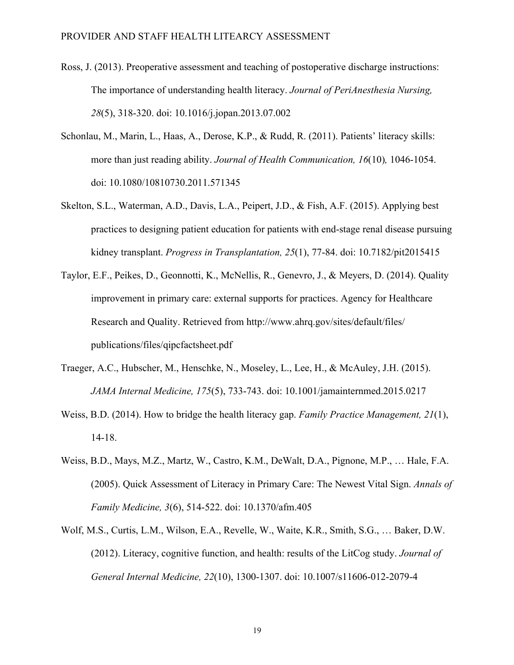- Ross, J. (2013). Preoperative assessment and teaching of postoperative discharge instructions: The importance of understanding health literacy. *Journal of PeriAnesthesia Nursing, 28*(5), 318-320. doi: 10.1016/j.jopan.2013.07.002
- Schonlau, M., Marin, L., Haas, A., Derose, K.P., & Rudd, R. (2011). Patients' literacy skills: more than just reading ability. *Journal of Health Communication, 16*(10)*,* 1046-1054. doi: 10.1080/10810730.2011.571345
- Skelton, S.L., Waterman, A.D., Davis, L.A., Peipert, J.D., & Fish, A.F. (2015). Applying best practices to designing patient education for patients with end-stage renal disease pursuing kidney transplant. *Progress in Transplantation, 25*(1), 77-84. doi: 10.7182/pit2015415
- Taylor, E.F., Peikes, D., Geonnotti, K., McNellis, R., Genevro, J., & Meyers, D. (2014). Quality improvement in primary care: external supports for practices. Agency for Healthcare Research and Quality. Retrieved from http://www.ahrq.gov/sites/default/files/ publications/files/qipcfactsheet.pdf
- Traeger, A.C., Hubscher, M., Henschke, N., Moseley, L., Lee, H., & McAuley, J.H. (2015). *JAMA Internal Medicine, 175*(5), 733-743. doi: 10.1001/jamainternmed.2015.0217
- Weiss, B.D. (2014). How to bridge the health literacy gap. *Family Practice Management, 21*(1), 14-18.
- Weiss, B.D., Mays, M.Z., Martz, W., Castro, K.M., DeWalt, D.A., Pignone, M.P., … Hale, F.A. (2005). Quick Assessment of Literacy in Primary Care: The Newest Vital Sign. *Annals of Family Medicine, 3*(6), 514-522. doi: 10.1370/afm.405
- Wolf, M.S., Curtis, L.M., Wilson, E.A., Revelle, W., Waite, K.R., Smith, S.G., … Baker, D.W. (2012). Literacy, cognitive function, and health: results of the LitCog study. *Journal of General Internal Medicine, 22*(10), 1300-1307. doi: 10.1007/s11606-012-2079-4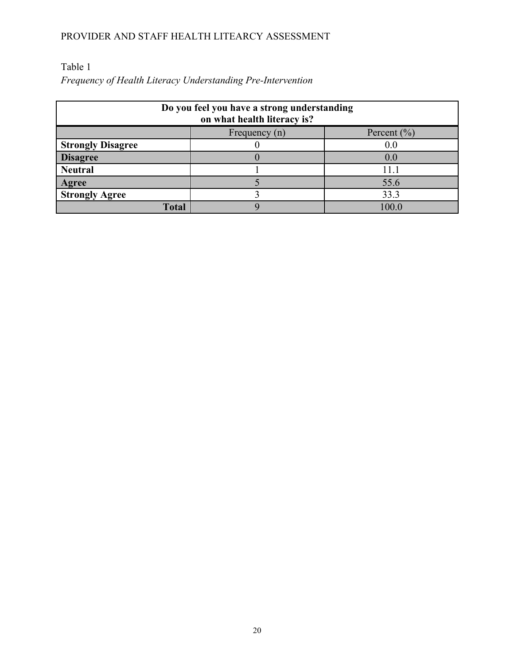### Table 1

*Frequency of Health Literacy Understanding Pre-Intervention*

| Do you feel you have a strong understanding<br>on what health literacy is? |  |                 |
|----------------------------------------------------------------------------|--|-----------------|
| Percent $\left(\frac{9}{0}\right)$<br>Frequency (n)                        |  |                 |
| <b>Strongly Disagree</b>                                                   |  | 0.0             |
| <b>Disagree</b>                                                            |  | 0.0             |
| <b>Neutral</b>                                                             |  |                 |
| <b>Agree</b>                                                               |  | 55.6            |
| <b>Strongly Agree</b>                                                      |  | 33.3            |
| Total                                                                      |  | 00 <sub>1</sub> |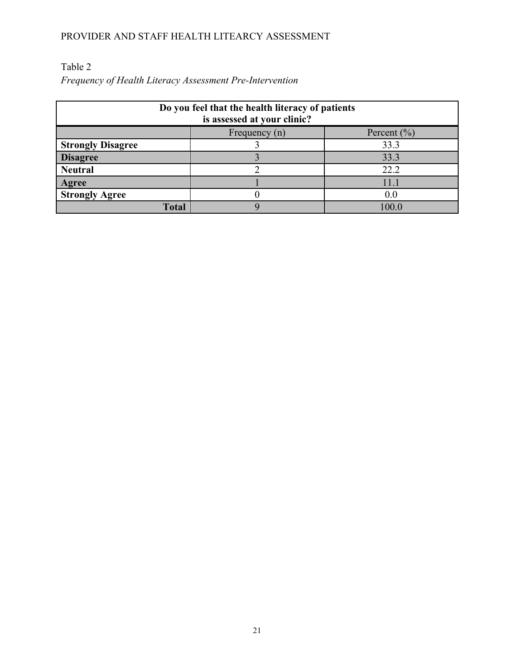## Table 2

*Frequency of Health Literacy Assessment Pre-Intervention*

| Do you feel that the health literacy of patients<br>is assessed at your clinic? |               |                 |
|---------------------------------------------------------------------------------|---------------|-----------------|
|                                                                                 | Frequency (n) | Percent $(\% )$ |
| <b>Strongly Disagree</b>                                                        |               | 33.3            |
| <b>Disagree</b>                                                                 |               | 33.3            |
| <b>Neutral</b>                                                                  |               | 22.2            |
| <b>Agree</b>                                                                    |               | 11.1            |
| <b>Strongly Agree</b>                                                           |               | 0.0             |
| <b>Total</b>                                                                    |               | 00 <sub>1</sub> |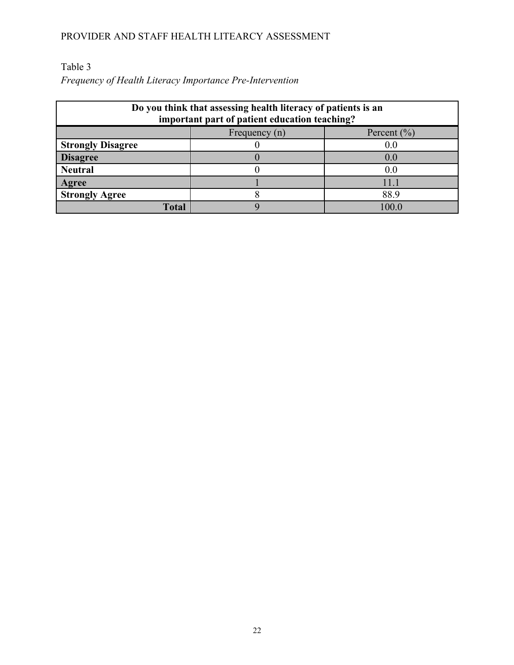### Table 3

*Frequency of Health Literacy Importance Pre-Intervention*

| Do you think that assessing health literacy of patients is an<br>important part of patient education teaching? |               |                                    |
|----------------------------------------------------------------------------------------------------------------|---------------|------------------------------------|
|                                                                                                                | Frequency (n) | Percent $\left(\frac{9}{0}\right)$ |
| <b>Strongly Disagree</b>                                                                                       |               | 0.0                                |
| <b>Disagree</b>                                                                                                |               | 0.0                                |
| <b>Neutral</b>                                                                                                 |               | 0.0                                |
| Agree                                                                                                          |               |                                    |
| <b>Strongly Agree</b>                                                                                          |               | 88.9                               |
| Total                                                                                                          |               | 00 <sub>1</sub>                    |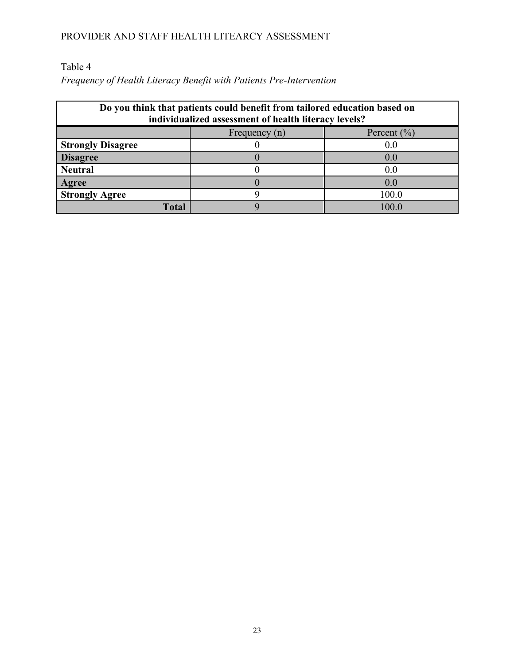Table 4

*Frequency of Health Literacy Benefit with Patients Pre-Intervention*

| Do you think that patients could benefit from tailored education based on<br>individualized assessment of health literacy levels? |               |                                    |
|-----------------------------------------------------------------------------------------------------------------------------------|---------------|------------------------------------|
|                                                                                                                                   | Frequency (n) | Percent $\left(\frac{0}{0}\right)$ |
| <b>Strongly Disagree</b>                                                                                                          |               | 0.0                                |
| <b>Disagree</b>                                                                                                                   |               | ( )  ()                            |
| <b>Neutral</b>                                                                                                                    |               | 0.0                                |
| Agree                                                                                                                             |               | ( )  ()                            |
| <b>Strongly Agree</b>                                                                                                             |               | 100.0                              |
| Total                                                                                                                             |               | 100 C                              |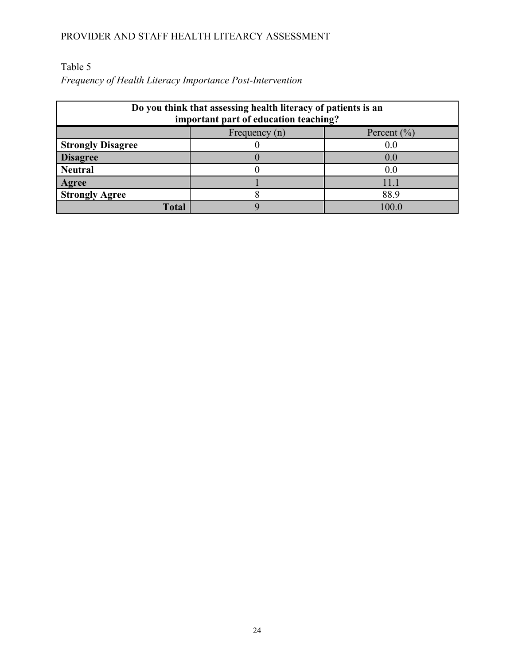### Table 5

*Frequency of Health Literacy Importance Post-Intervention*

| Do you think that assessing health literacy of patients is an<br>important part of education teaching? |               |                 |
|--------------------------------------------------------------------------------------------------------|---------------|-----------------|
|                                                                                                        | Frequency (n) | Percent $(\% )$ |
| <b>Strongly Disagree</b>                                                                               |               | 00              |
| <b>Disagree</b>                                                                                        |               | 0.0             |
| <b>Neutral</b>                                                                                         |               | 00              |
| Agree                                                                                                  |               |                 |
| <b>Strongly Agree</b>                                                                                  |               | 88.9            |
| <b>Total</b>                                                                                           |               | 00 <sup>1</sup> |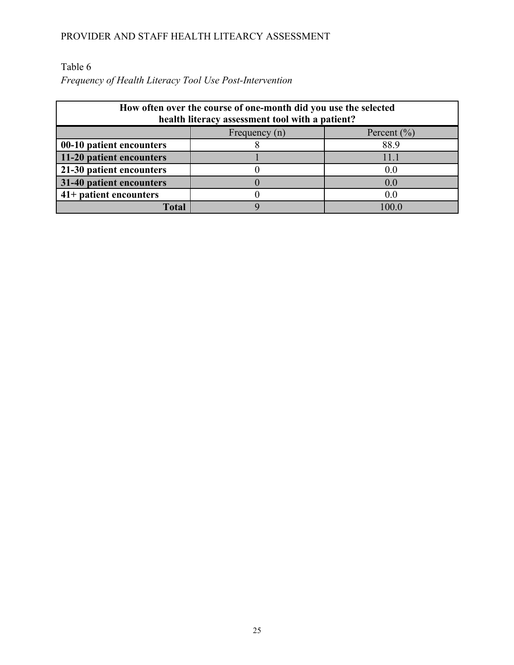### Table 6

*Frequency of Health Literacy Tool Use Post-Intervention*

| How often over the course of one-month did you use the selected<br>health literacy assessment tool with a patient? |               |                 |
|--------------------------------------------------------------------------------------------------------------------|---------------|-----------------|
|                                                                                                                    | Frequency (n) | Percent $(\% )$ |
| 00-10 patient encounters                                                                                           |               | 88.9            |
| 11-20 patient encounters                                                                                           |               | 11.1            |
| 21-30 patient encounters                                                                                           |               | 0.0             |
| 31-40 patient encounters                                                                                           |               | 0 <sub>0</sub>  |
| 41+ patient encounters                                                                                             |               | 0.0             |
| Total                                                                                                              |               | 00 <sub>1</sub> |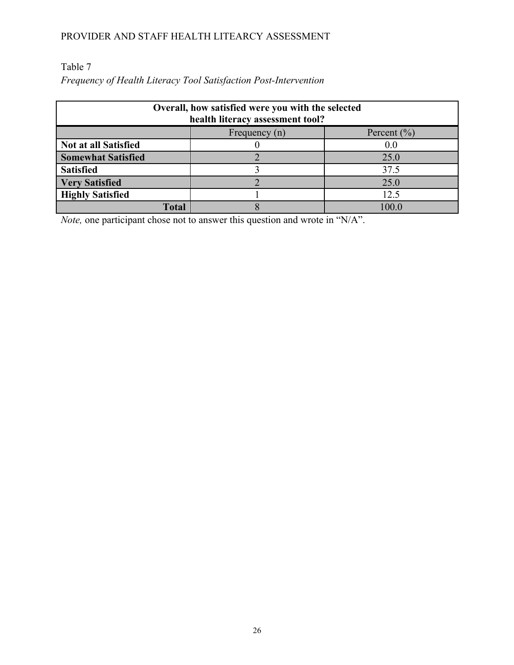### Table 7

*Frequency of Health Literacy Tool Satisfaction Post-Intervention*

| Overall, how satisfied were you with the selected<br>health literacy assessment tool? |  |      |
|---------------------------------------------------------------------------------------|--|------|
| Percent $(\% )$<br>Frequency (n)                                                      |  |      |
| Not at all Satisfied                                                                  |  | 0.0  |
| <b>Somewhat Satisfied</b>                                                             |  | 25.0 |
| <b>Satisfied</b>                                                                      |  | 37.5 |
| <b>Very Satisfied</b>                                                                 |  | 25.0 |
| <b>Highly Satisfied</b>                                                               |  | 12.5 |
| Total                                                                                 |  | 100. |

*Note*, one participant chose not to answer this question and wrote in "N/A".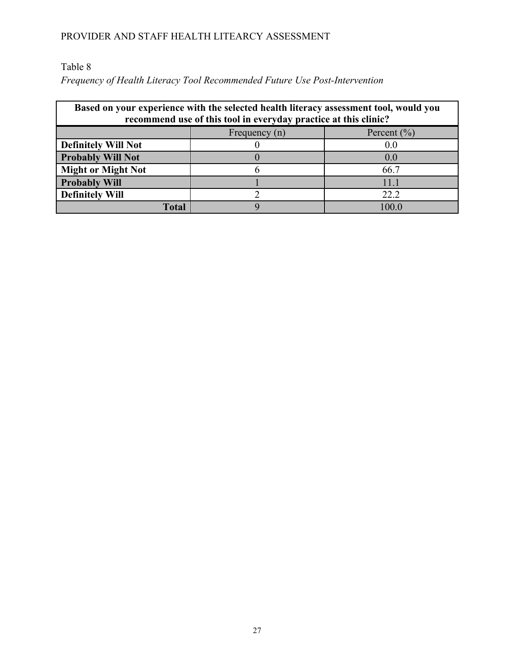Table 8

*Frequency of Health Literacy Tool Recommended Future Use Post-Intervention*

| Based on your experience with the selected health literacy assessment tool, would you<br>recommend use of this tool in everyday practice at this clinic? |               |                 |
|----------------------------------------------------------------------------------------------------------------------------------------------------------|---------------|-----------------|
|                                                                                                                                                          | Frequency (n) | Percent $(\% )$ |
| <b>Definitely Will Not</b>                                                                                                                               |               | 0.0             |
| <b>Probably Will Not</b>                                                                                                                                 |               | 0.0             |
| <b>Might or Might Not</b>                                                                                                                                |               | 66.7            |
| <b>Probably Will</b>                                                                                                                                     |               | 11.1            |
| <b>Definitely Will</b>                                                                                                                                   |               | 22.2            |
| Total                                                                                                                                                    |               | 00 <sub>1</sub> |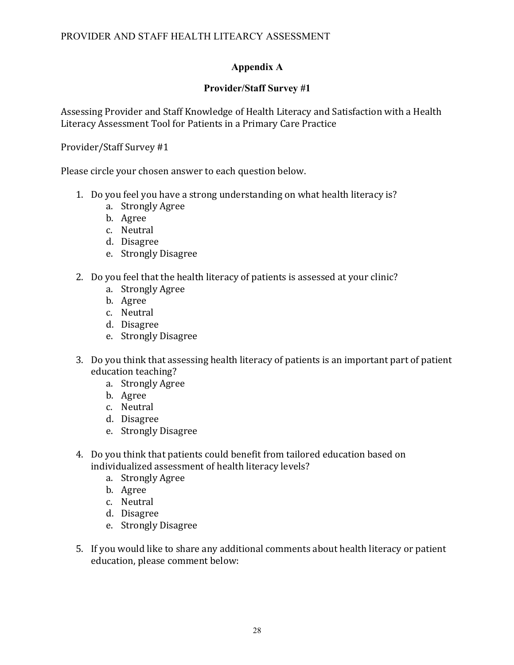### **Appendix A**

### **Provider/Staff Survey #1**

Assessing Provider and Staff Knowledge of Health Literacy and Satisfaction with a Health Literacy Assessment Tool for Patients in a Primary Care Practice

### Provider/Staff Survey #1

Please circle your chosen answer to each question below.

- 1. Do you feel you have a strong understanding on what health literacy is?
	- a. Strongly Agree
	- b. Agree
	- c. Neutral
	- d. Disagree
	- e. Strongly Disagree
- 2. Do you feel that the health literacy of patients is assessed at your clinic?
	- a. Strongly Agree
	- b. Agree
	- c. Neutral
	- d. Disagree
	- e. Strongly Disagree
- 3. Do you think that assessing health literacy of patients is an important part of patient education teaching?
	- a. Strongly Agree
	- b. Agree
	- c. Neutral
	- d. Disagree
	- e. Strongly Disagree
- 4. Do you think that patients could benefit from tailored education based on individualized assessment of health literacy levels?
	- a. Strongly Agree
	- b. Agree
	- c. Neutral
	- d. Disagree
	- e. Strongly Disagree
- 5. If you would like to share any additional comments about health literacy or patient education, please comment below: